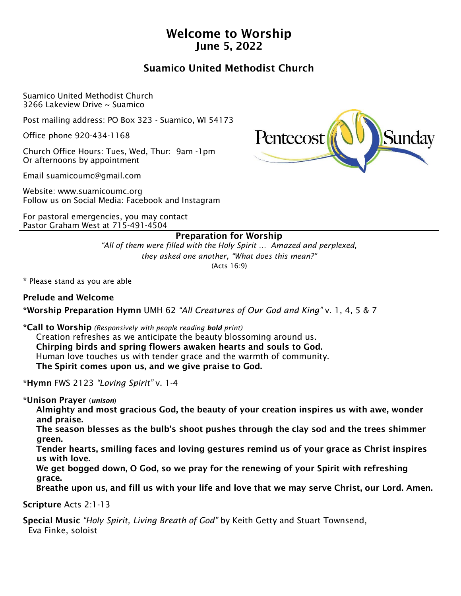# Welcome to Worship June 5, 2022

# Suamico United Methodist Church

Suamico United Methodist Church 3266 Lakeview Drive ~ Suamico

Post mailing address: PO Box 323 - Suamico, WI 54173

Office phone 920-434-1168

Church Office Hours: Tues, Wed, Thur: 9am -1pm Or afternoons by appointment

Email suamicoumc@gmail.com

Website: www.suamicoumc.org Follow us on Social Media: Facebook and Instagram

For pastoral emergencies, you may contact Pastor Graham West at 715-491-4504



## Preparation for Worship

*"All of them were filled with the Holy Spirit … Amazed and perplexed, they asked one another, "What does this mean?"* (Acts 16:9)

\* Please stand as you are able

## Prelude and Welcome

\*Worship Preparation Hymn UMH 62 *"All Creatures of Our God and King"* v. 1, 4, 5 & 7

\*Call to Worship *(Responsively with people reading bold print)*

 Creation refreshes as we anticipate the beauty blossoming around us. Chirping birds and spring flowers awaken hearts and souls to God. Human love touches us with tender grace and the warmth of community. The Spirit comes upon us, and we give praise to God.

\*Hymn FWS 2123 *"Loving Spirit"* v. 1-4

\*Unison Prayer (*unison*)

 Almighty and most gracious God, the beauty of your creation inspires us with awe, wonder and praise.

 The season blesses as the bulb's shoot pushes through the clay sod and the trees shimmer green.

 Tender hearts, smiling faces and loving gestures remind us of your grace as Christ inspires us with love.

 We get bogged down, O God, so we pray for the renewing of your Spirit with refreshing grace.

Breathe upon us, and fill us with your life and love that we may serve Christ, our Lord. Amen.

Scripture Acts 2:1-13

Special Music *"Holy Spirit, Living Breath of God"* by Keith Getty and Stuart Townsend, Eva Finke, soloist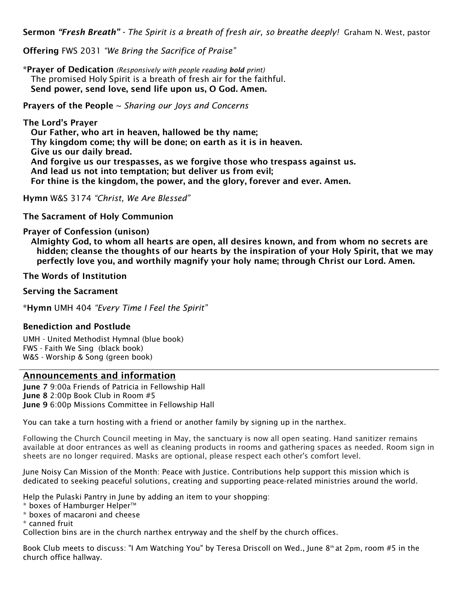Sermon *"Fresh Breath" - The Spirit is a breath of fresh air, so breathe deeply!* Graham N. West, pastor

Offering FWS 2031 *"We Bring the Sacrifice of Praise"* 

\*Prayer of Dedication *(Responsively with people reading bold print)* The promised Holy Spirit is a breath of fresh air for the faithful. Send power, send love, send life upon us, O God. Amen.

Prayers of the People ~ *Sharing our Joys and Concerns*

The Lord's Prayer Our Father, who art in heaven, hallowed be thy name; Thy kingdom come; thy will be done; on earth as it is in heaven. Give us our daily bread. And forgive us our trespasses, as we forgive those who trespass against us. And lead us not into temptation; but deliver us from evil; For thine is the kingdom, the power, and the glory, forever and ever. Amen.

Hymn W&S 3174 *"Christ, We Are Blessed"*

The Sacrament of Holy Communion

#### Prayer of Confession (unison)

 Almighty God, to whom all hearts are open, all desires known, and from whom no secrets are hidden; cleanse the thoughts of our hearts by the inspiration of your Holy Spirit, that we may perfectly love you, and worthily magnify your holy name; through Christ our Lord. Amen.

#### The Words of Institution

#### Serving the Sacrament

\*Hymn UMH 404 *"Every Time I Feel the Spirit"* 

## Benediction and Postlude

UMH - United Methodist Hymnal (blue book) FWS - Faith We Sing (black book) W&S - Worship & Song (green book)

#### Announcements and information

June 7 9:00a Friends of Patricia in Fellowship Hall June 8 2:00p Book Club in Room #5 June 9 6:00p Missions Committee in Fellowship Hall

You can take a turn hosting with a friend or another family by signing up in the narthex.

Following the Church Council meeting in May, the sanctuary is now all open seating. Hand sanitizer remains available at door entrances as well as cleaning products in rooms and gathering spaces as needed. Room sign in sheets are no longer required. Masks are optional, please respect each other's comfort level.

June Noisy Can Mission of the Month: Peace with Justice. Contributions help support this mission which is dedicated to seeking peaceful solutions, creating and supporting peace-related ministries around the world.

Help the Pulaski Pantry in June by adding an item to your shopping:

- \* boxes of Hamburger Helper<sup>™</sup>
- \* boxes of macaroni and cheese
- \* canned fruit

Collection bins are in the church narthex entryway and the shelf by the church offices.

Book Club meets to discuss: "I Am Watching You" by Teresa Driscoll on Wed., June 8<sup>th</sup> at 2pm, room #5 in the church office hallway.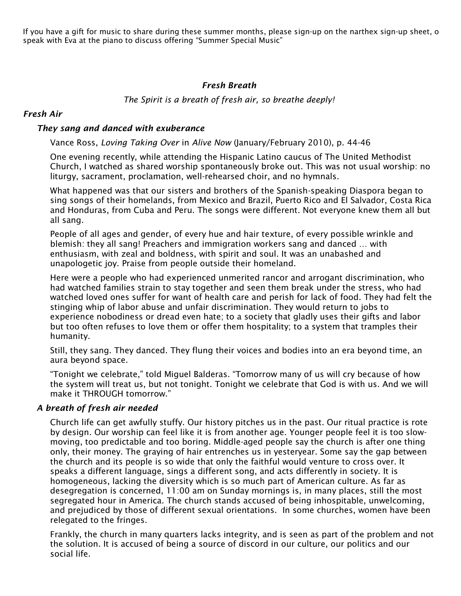If you have a gift for music to share during these summer months, please sign-up on the narthex sign-up sheet, o speak with Eva at the piano to discuss offering "Summer Special Music"

## *Fresh Breath*

*The Spirit is a breath of fresh air, so breathe deeply!*

## *Fresh Air*

### *They sang and danced with exuberance*

Vance Ross, *Loving Taking Over* in *Alive Now* (January/February 2010), p. 44-46

One evening recently, while attending the Hispanic Latino caucus of The United Methodist Church, I watched as shared worship spontaneously broke out. This was not usual worship: no liturgy, sacrament, proclamation, well-rehearsed choir, and no hymnals.

What happened was that our sisters and brothers of the Spanish-speaking Diaspora began to sing songs of their homelands, from Mexico and Brazil, Puerto Rico and El Salvador, Costa Rica and Honduras, from Cuba and Peru. The songs were different. Not everyone knew them all but all sang.

People of all ages and gender, of every hue and hair texture, of every possible wrinkle and blemish: they all sang! Preachers and immigration workers sang and danced … with enthusiasm, with zeal and boldness, with spirit and soul. It was an unabashed and unapologetic joy. Praise from people outside their homeland.

Here were a people who had experienced unmerited rancor and arrogant discrimination, who had watched families strain to stay together and seen them break under the stress, who had watched loved ones suffer for want of health care and perish for lack of food. They had felt the stinging whip of labor abuse and unfair discrimination. They would return to jobs to experience nobodiness or dread even hate; to a society that gladly uses their gifts and labor but too often refuses to love them or offer them hospitality; to a system that tramples their humanity.

Still, they sang. They danced. They flung their voices and bodies into an era beyond time, an aura beyond space.

"Tonight we celebrate," told Miguel Balderas. "Tomorrow many of us will cry because of how the system will treat us, but not tonight. Tonight we celebrate that God is with us. And we will make it THROUGH tomorrow."

### *A breath of fresh air needed*

Church life can get awfully stuffy. Our history pitches us in the past. Our ritual practice is rote by design. Our worship can feel like it is from another age. Younger people feel it is too slowmoving, too predictable and too boring. Middle-aged people say the church is after one thing only, their money. The graying of hair entrenches us in yesteryear. Some say the gap between the church and its people is so wide that only the faithful would venture to cross over. It speaks a different language, sings a different song, and acts differently in society. It is homogeneous, lacking the diversity which is so much part of American culture. As far as desegregation is concerned, 11:00 am on Sunday mornings is, in many places, still the most segregated hour in America. The church stands accused of being inhospitable, unwelcoming, and prejudiced by those of different sexual orientations. In some churches, women have been relegated to the fringes.

Frankly, the church in many quarters lacks integrity, and is seen as part of the problem and not the solution. It is accused of being a source of discord in our culture, our politics and our social life.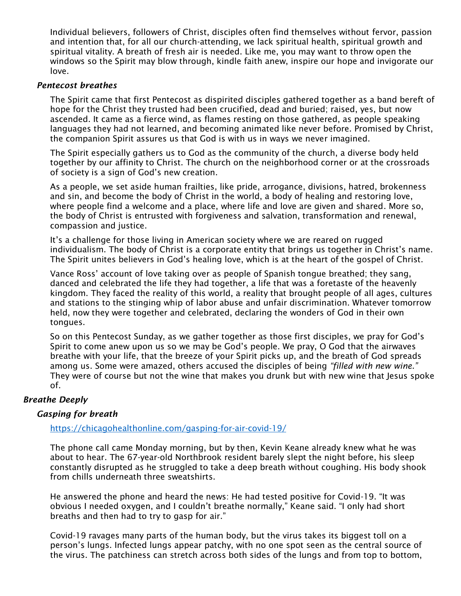Individual believers, followers of Christ, disciples often find themselves without fervor, passion and intention that, for all our church-attending, we lack spiritual health, spiritual growth and spiritual vitality. A breath of fresh air is needed. Like me, you may want to throw open the windows so the Spirit may blow through, kindle faith anew, inspire our hope and invigorate our love.

#### *Pentecost breathes*

The Spirit came that first Pentecost as dispirited disciples gathered together as a band bereft of hope for the Christ they trusted had been crucified, dead and buried; raised, yes, but now ascended. It came as a fierce wind, as flames resting on those gathered, as people speaking languages they had not learned, and becoming animated like never before. Promised by Christ, the companion Spirit assures us that God is with us in ways we never imagined.

The Spirit especially gathers us to God as the community of the church, a diverse body held together by our affinity to Christ. The church on the neighborhood corner or at the crossroads of society is a sign of God's new creation.

As a people, we set aside human frailties, like pride, arrogance, divisions, hatred, brokenness and sin, and become the body of Christ in the world, a body of healing and restoring love, where people find a welcome and a place, where life and love are given and shared. More so, the body of Christ is entrusted with forgiveness and salvation, transformation and renewal, compassion and justice.

It's a challenge for those living in American society where we are reared on rugged individualism. The body of Christ is a corporate entity that brings us together in Christ's name. The Spirit unites believers in God's healing love, which is at the heart of the gospel of Christ.

Vance Ross' account of love taking over as people of Spanish tongue breathed; they sang, danced and celebrated the life they had together, a life that was a foretaste of the heavenly kingdom. They faced the reality of this world, a reality that brought people of all ages, cultures and stations to the stinging whip of labor abuse and unfair discrimination. Whatever tomorrow held, now they were together and celebrated, declaring the wonders of God in their own tongues.

So on this Pentecost Sunday, as we gather together as those first disciples, we pray for God's Spirit to come anew upon us so we may be God's people. We pray, O God that the airwaves breathe with your life, that the breeze of your Spirit picks up, and the breath of God spreads among us. Some were amazed, others accused the disciples of being *"filled with new wine."* They were of course but not the wine that makes you drunk but with new wine that Jesus spoke of.

### *Breathe Deeply*

## *Gasping for breath*

## <https://chicagohealthonline.com/gasping-for-air-covid-19/>

The phone call came Monday morning, but by then, Kevin Keane already knew what he was about to hear. The 67-year-old Northbrook resident barely slept the night before, his sleep constantly disrupted as he struggled to take a deep breath without coughing. His body shook from chills underneath three sweatshirts.

He answered the phone and heard the news: He had tested positive for Covid-19. "It was obvious I needed oxygen, and I couldn't breathe normally," Keane said. "I only had short breaths and then had to try to gasp for air."

Covid-19 ravages many parts of the human body, but the virus takes its biggest toll on a person's lungs. Infected lungs appear patchy, with no one spot seen as the central source of the virus. The patchiness can stretch across both sides of the lungs and from top to bottom,